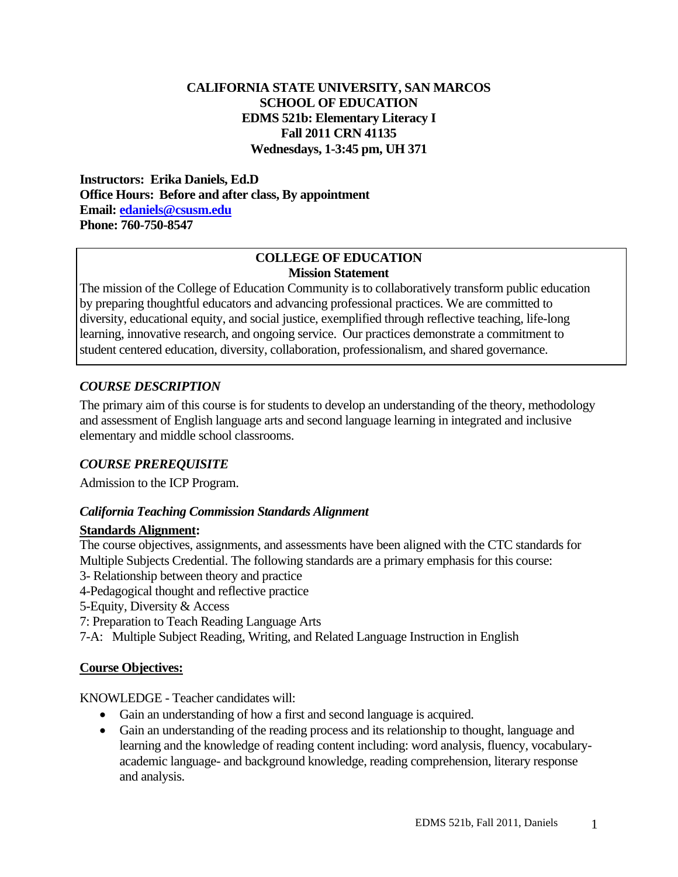## **CALIFORNIA STATE UNIVERSITY, SAN MARCOS SCHOOL OF EDUCATION EDMS 521b: Elementary Literacy I Fall 2011 CRN 41135 Wednesdays, 1-3:45 pm, UH 371**

 **Email: edaniels@csusm.edu Phone: 760-750-8547 Instructors: Erika Daniels, Ed.D Office Hours: Before and after class, By appointment** 

#### **COLLEGE OF EDUCATION Mission Statement**

The mission of the College of Education Community is to collaboratively transform public education by preparing thoughtful educators and advancing professional practices. We are committed to diversity, educational equity, and social justice, exemplified through reflective teaching, life-long learning, innovative research, and ongoing service. Our practices demonstrate a commitment to student centered education, diversity, collaboration, professionalism, and shared governance.

# *COURSE DESCRIPTION*

The primary aim of this course is for students to develop an understanding of the theory, methodology and assessment of English language arts and second language learning in integrated and inclusive elementary and middle school classrooms.

# *COURSE PREREQUISITE*

Admission to the ICP Program.

## *California Teaching Commission Standards Alignment*

## **Standards Alignment:**

The course objectives, assignments, and assessments have been aligned with the CTC standards for Multiple Subjects Credential. The following standards are a primary emphasis for this course:

- 3- Relationship between theory and practice
- 4-Pedagogical thought and reflective practice
- 5-Equity, Diversity & Access
- 7: Preparation to Teach Reading Language Arts
- 7-A: Multiple Subject Reading, Writing, and Related Language Instruction in English

## **Course Objectives:**

KNOWLEDGE - Teacher candidates will:

- Gain an understanding of how a first and second language is acquired.
- and analysis. Gain an understanding of the reading process and its relationship to thought, language and learning and the knowledge of reading content including: word analysis, fluency, vocabularyacademic language- and background knowledge, reading comprehension, literary response and analysis.<br>EDMS 521b, Fall 2011, Daniels 1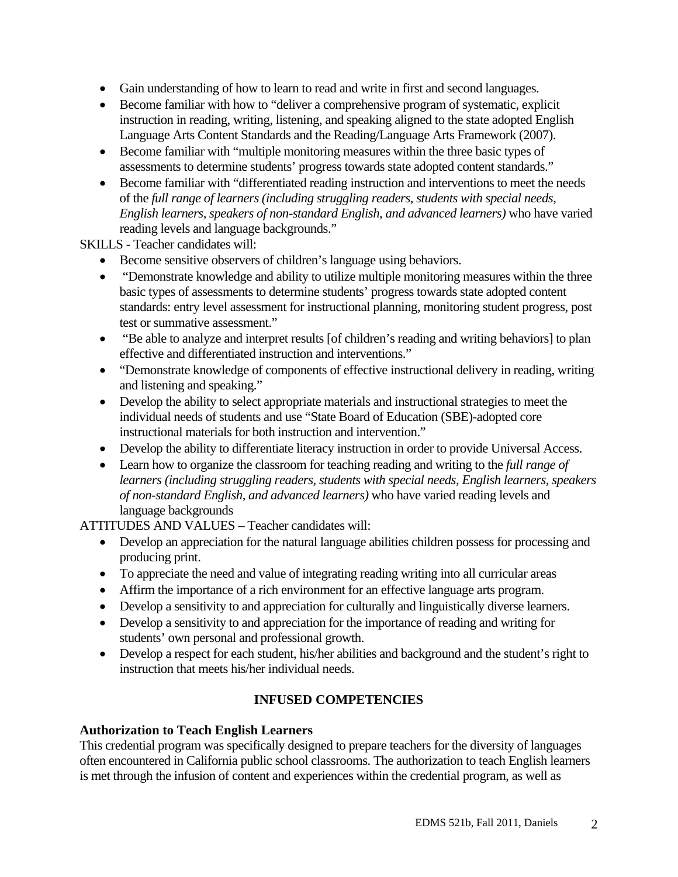- Gain understanding of how to learn to read and write in first and second languages.
- Become familiar with how to "deliver a comprehensive program of systematic, explicit instruction in reading, writing, listening, and speaking aligned to the state adopted English Language Arts Content Standards and the Reading/Language Arts Framework (2007).
- Become familiar with "multiple monitoring measures within the three basic types of assessments to determine students' progress towards state adopted content standards."
- Become familiar with "differentiated reading instruction and interventions to meet the needs of the *full range of learners (including struggling readers, students with special needs, English learners, speakers of non-standard English, and advanced learners)* who have varied reading levels and language backgrounds."

SKILLS - Teacher candidates will:

- Become sensitive observers of children's language using behaviors.
- "Demonstrate knowledge and ability to utilize multiple monitoring measures within the three basic types of assessments to determine students' progress towards state adopted content standards: entry level assessment for instructional planning, monitoring student progress, post test or summative assessment."
- "Be able to analyze and interpret results [of children's reading and writing behaviors] to plan effective and differentiated instruction and interventions."
- "Demonstrate knowledge of components of effective instructional delivery in reading, writing and listening and speaking."
- Develop the ability to select appropriate materials and instructional strategies to meet the individual needs of students and use "State Board of Education (SBE)-adopted core instructional materials for both instruction and intervention."
- Develop the ability to differentiate literacy instruction in order to provide Universal Access.
- Learn how to organize the classroom for teaching reading and writing to the *full range of learners (including struggling readers, students with special needs, English learners, speakers of non-standard English, and advanced learners)* who have varied reading levels and language backgrounds

ATTITUDES AND VALUES – Teacher candidates will:

- Develop an appreciation for the natural language abilities children possess for processing and producing print.
- To appreciate the need and value of integrating reading writing into all curricular areas
- Affirm the importance of a rich environment for an effective language arts program.
- Develop a sensitivity to and appreciation for culturally and linguistically diverse learners.
- Develop a sensitivity to and appreciation for the importance of reading and writing for students' own personal and professional growth.
- Develop a respect for each student, his/her abilities and background and the student's right to instruction that meets his/her individual needs.

# **INFUSED COMPETENCIES**

## **Authorization to Teach English Learners**

This credential program was specifically designed to prepare teachers for the diversity of languages often encountered in California public school classrooms. The authorization to teach English learners is met through the infusion of content and experiences within the credential program, as well as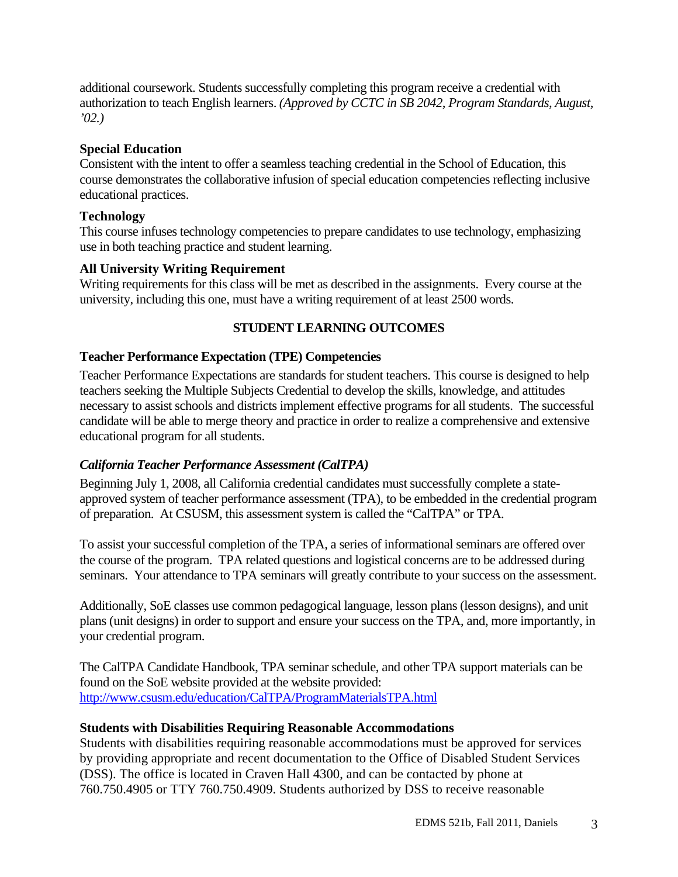additional coursework. Students successfully completing this program receive a credential with authorization to teach English learners. *(Approved by CCTC in SB 2042, Program Standards, August, '02.)* 

## **Special Education**

Consistent with the intent to offer a seamless teaching credential in the School of Education, this course demonstrates the collaborative infusion of special education competencies reflecting inclusive educational practices.

## **Technology**

This course infuses technology competencies to prepare candidates to use technology, emphasizing use in both teaching practice and student learning.

# **All University Writing Requirement**

Writing requirements for this class will be met as described in the assignments. Every course at the university, including this one, must have a writing requirement of at least 2500 words.

# **STUDENT LEARNING OUTCOMES**

## **Teacher Performance Expectation (TPE) Competencies**

Teacher Performance Expectations are standards for student teachers. This course is designed to help teachers seeking the Multiple Subjects Credential to develop the skills, knowledge, and attitudes necessary to assist schools and districts implement effective programs for all students. The successful candidate will be able to merge theory and practice in order to realize a comprehensive and extensive educational program for all students.

## *California Teacher Performance Assessment (CalTPA)*

Beginning July 1, 2008, all California credential candidates must successfully complete a stateapproved system of teacher performance assessment (TPA), to be embedded in the credential program of preparation. At CSUSM, this assessment system is called the "CalTPA" or TPA.

To assist your successful completion of the TPA, a series of informational seminars are offered over the course of the program. TPA related questions and logistical concerns are to be addressed during seminars. Your attendance to TPA seminars will greatly contribute to your success on the assessment.

Additionally, SoE classes use common pedagogical language, lesson plans (lesson designs), and unit plans (unit designs) in order to support and ensure your success on the TPA, and, more importantly, in your credential program.

The CalTPA Candidate Handbook, TPA seminar schedule, and other TPA support materials can be found on the SoE website provided at the website provided: http://www.csusm.edu/education/CalTPA/ProgramMaterialsTPA.html

## **Students with Disabilities Requiring Reasonable Accommodations**

Students with disabilities requiring reasonable accommodations must be approved for services by providing appropriate and recent documentation to the Office of Disabled Student Services (DSS). The office is located in Craven Hall 4300, and can be contacted by phone at 760.750.4905 or TTY 760.750.4909. Students authorized by DSS to receive reasonable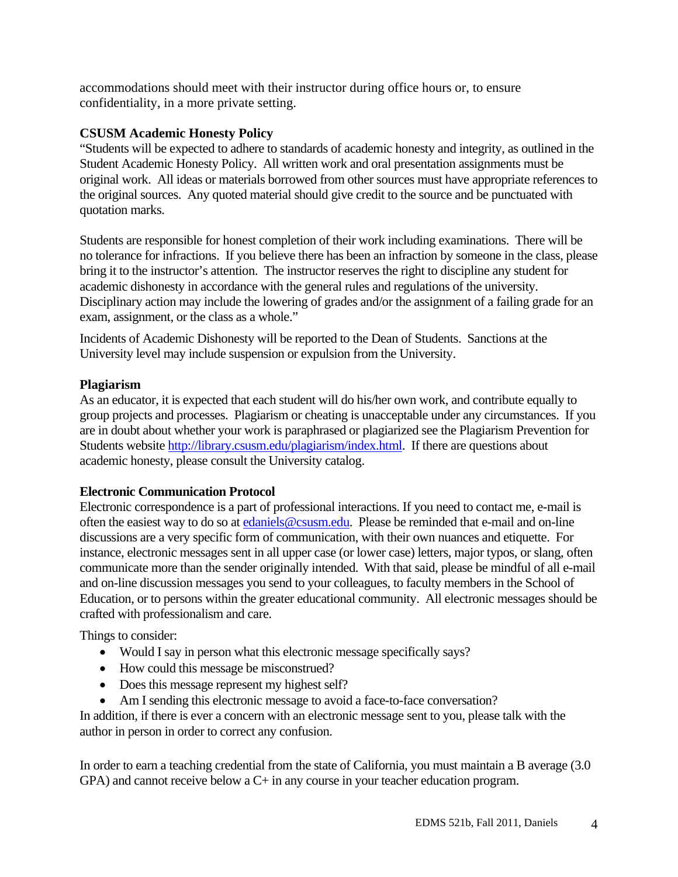accommodations should meet with their instructor during office hours or, to ensure confidentiality, in a more private setting.

## **CSUSM Academic Honesty Policy**

"Students will be expected to adhere to standards of academic honesty and integrity, as outlined in the Student Academic Honesty Policy. All written work and oral presentation assignments must be original work. All ideas or materials borrowed from other sources must have appropriate references to the original sources. Any quoted material should give credit to the source and be punctuated with quotation marks.

Students are responsible for honest completion of their work including examinations. There will be no tolerance for infractions. If you believe there has been an infraction by someone in the class, please bring it to the instructor's attention. The instructor reserves the right to discipline any student for academic dishonesty in accordance with the general rules and regulations of the university. Disciplinary action may include the lowering of grades and/or the assignment of a failing grade for an exam, assignment, or the class as a whole."

Incidents of Academic Dishonesty will be reported to the Dean of Students. Sanctions at the University level may include suspension or expulsion from the University.

## **Plagiarism**

As an educator, it is expected that each student will do his/her own work, and contribute equally to group projects and processes. Plagiarism or cheating is unacceptable under any circumstances. If you are in doubt about whether your work is paraphrased or plagiarized see the Plagiarism Prevention for Students website http://library.csusm.edu/plagiarism/index.html. If there are questions about academic honesty, please consult the University catalog.

## **Electronic Communication Protocol**

Electronic correspondence is a part of professional interactions. If you need to contact me, e-mail is often the easiest way to do so at edaniels@csusm.edu. Please be reminded that e-mail and on-line discussions are a very specific form of communication, with their own nuances and etiquette. For instance, electronic messages sent in all upper case (or lower case) letters, major typos, or slang, often communicate more than the sender originally intended. With that said, please be mindful of all e-mail and on-line discussion messages you send to your colleagues, to faculty members in the School of Education, or to persons within the greater educational community. All electronic messages should be crafted with professionalism and care.

Things to consider:

- Would I say in person what this electronic message specifically says?
- How could this message be misconstrued?
- Does this message represent my highest self?
- Am I sending this electronic message to avoid a face-to-face conversation?

In addition, if there is ever a concern with an electronic message sent to you, please talk with the author in person in order to correct any confusion.

In order to earn a teaching credential from the state of California, you must maintain a B average (3.0 GPA) and cannot receive below a C+ in any course in your teacher education program.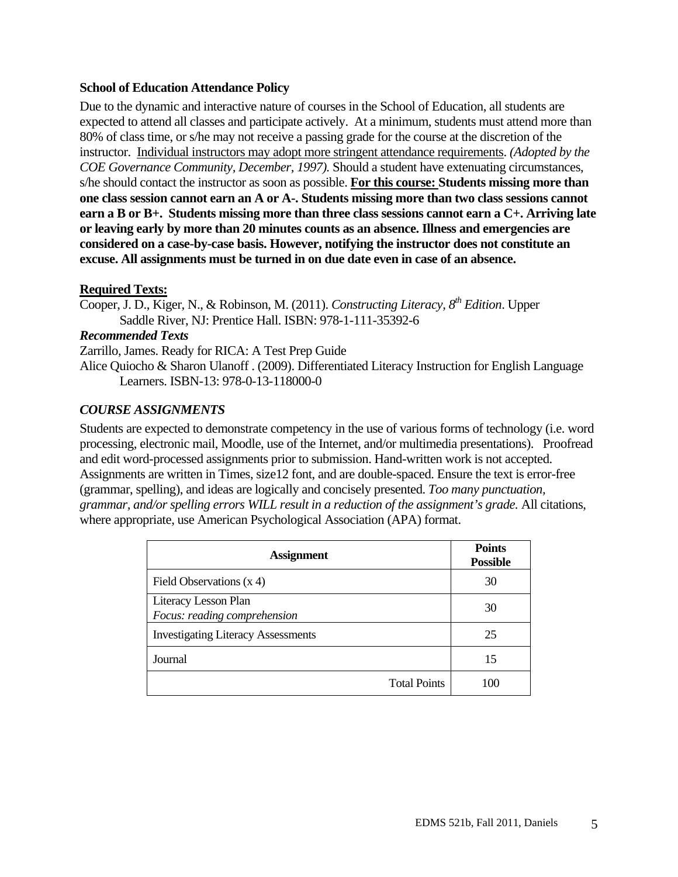#### **School of Education Attendance Policy**

Due to the dynamic and interactive nature of courses in the School of Education, all students are expected to attend all classes and participate actively. At a minimum, students must attend more than 80% of class time, or s/he may not receive a passing grade for the course at the discretion of the instructor. Individual instructors may adopt more stringent attendance requirements. *(Adopted by the COE Governance Community, December, 1997).* Should a student have extenuating circumstances, s/he should contact the instructor as soon as possible. **For this course: Students missing more than one class session cannot earn an A or A-. Students missing more than two class sessions cannot earn a B or B+. Students missing more than three class sessions cannot earn a C+. Arriving late or leaving early by more than 20 minutes counts as an absence. Illness and emergencies are considered on a case-by-case basis. However, notifying the instructor does not constitute an excuse. All assignments must be turned in on due date even in case of an absence.** 

#### **Required Texts:**

Cooper, J. D., Kiger, N., & Robinson, M. (2011). *Constructing Literacy, 8th Edition*. Upper Saddle River, NJ: Prentice Hall. ISBN: 978-1-111-35392-6

#### *Recommended Texts*

Zarrillo, James. Ready for RICA: A Test Prep Guide

Alice Quiocho & Sharon Ulanoff . (2009). Differentiated Literacy Instruction for English Language Learners. ISBN-13: 978-0-13-118000-0

## *COURSE ASSIGNMENTS*

Students are expected to demonstrate competency in the use of various forms of technology (i.e. word processing, electronic mail, Moodle, use of the Internet, and/or multimedia presentations). Proofread and edit word-processed assignments prior to submission. Hand-written work is not accepted. Assignments are written in Times, size12 font, and are double-spaced. Ensure the text is error-free (grammar, spelling), and ideas are logically and concisely presented. *Too many punctuation, grammar, and/or spelling errors WILL result in a reduction of the assignment's grade.* All citations, where appropriate, use American Psychological Association (APA) format.

| <b>Assignment</b>                                    | <b>Points</b><br><b>Possible</b> |
|------------------------------------------------------|----------------------------------|
| Field Observations $(x 4)$                           | 30                               |
| Literacy Lesson Plan<br>Focus: reading comprehension | 30                               |
| <b>Investigating Literacy Assessments</b>            | 25                               |
| Journal                                              | 15                               |
| <b>Total Points</b>                                  | 100                              |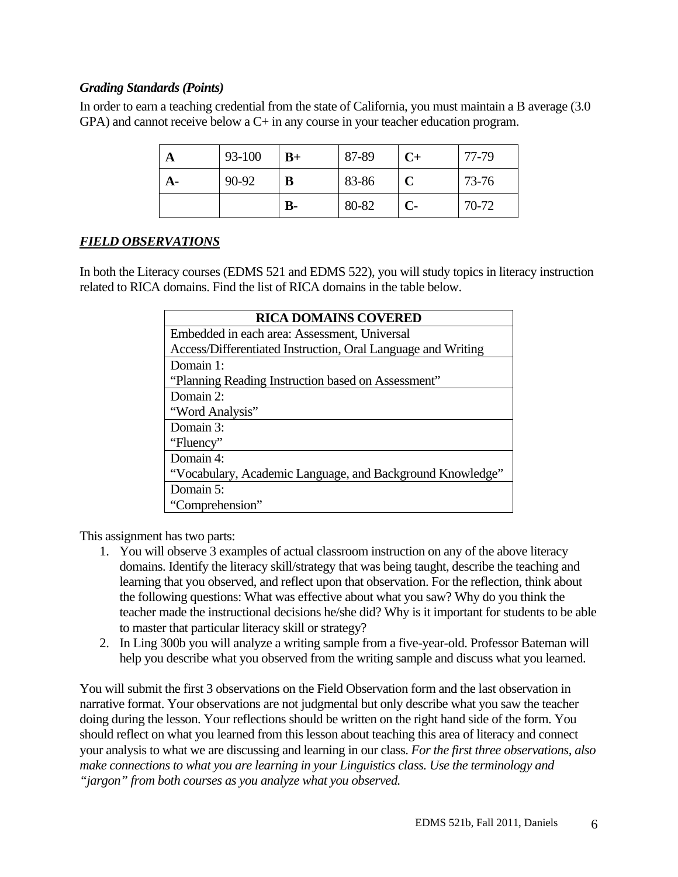## *Grading Standards (Points)*

In order to earn a teaching credential from the state of California, you must maintain a B average (3.0 GPA) and cannot receive below a C+ in any course in your teacher education program.

|    | 93-100 | $B+$      | 87-89 | $C+$ | 77-79 |
|----|--------|-----------|-------|------|-------|
| A- | 90-92  | B         | 83-86 |      | 73-76 |
|    |        | <b>B-</b> | 80-82 | $C-$ | 70-72 |

#### *FIELD OBSERVATIONS*

In both the Literacy courses (EDMS 521 and EDMS 522), you will study topics in literacy instruction related to RICA domains. Find the list of RICA domains in the table below.

| <b>RICA DOMAINS COVERED</b>                                  |
|--------------------------------------------------------------|
| Embedded in each area: Assessment, Universal                 |
| Access/Differentiated Instruction, Oral Language and Writing |
| Domain 1:                                                    |
| "Planning Reading Instruction based on Assessment"           |
| Domain 2:                                                    |
| "Word Analysis"                                              |
| Domain 3:                                                    |
| "Fluency"                                                    |
| Domain $4:$                                                  |
| "Vocabulary, Academic Language, and Background Knowledge"    |
| Domain 5:                                                    |
| "Comprehension"                                              |

This assignment has two parts:

- 1. You will observe 3 examples of actual classroom instruction on any of the above literacy domains. Identify the literacy skill/strategy that was being taught, describe the teaching and learning that you observed, and reflect upon that observation. For the reflection, think about the following questions: What was effective about what you saw? Why do you think the teacher made the instructional decisions he/she did? Why is it important for students to be able to master that particular literacy skill or strategy?
- 2. In Ling 300b you will analyze a writing sample from a five-year-old. Professor Bateman will help you describe what you observed from the writing sample and discuss what you learned.

 *"jargon" from both courses as you analyze what you observed.* You will submit the first 3 observations on the Field Observation form and the last observation in narrative format. Your observations are not judgmental but only describe what you saw the teacher doing during the lesson. Your reflections should be written on the right hand side of the form. You should reflect on what you learned from this lesson about teaching this area of literacy and connect your analysis to what we are discussing and learning in our class. *For the first three observations, also make connections to what you are learning in your Linguistics class. Use the terminology and*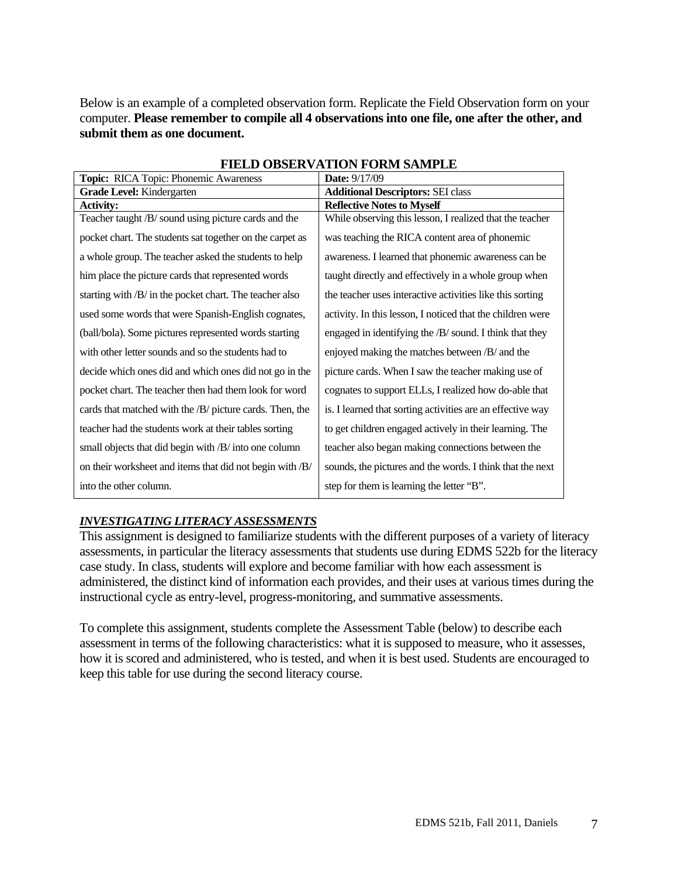Below is an example of a completed observation form. Replicate the Field Observation form on your computer. **Please remember to compile all 4 observations into one file, one after the other, and submit them as one document.** 

| Topic: RICA Topic: Phonemic Awareness                    | <b>Date: 9/17/09</b>                                       |
|----------------------------------------------------------|------------------------------------------------------------|
| Grade Level: Kindergarten                                | <b>Additional Descriptors: SEI class</b>                   |
| <b>Activity:</b>                                         | <b>Reflective Notes to Myself</b>                          |
| Teacher taught /B/ sound using picture cards and the     | While observing this lesson, I realized that the teacher   |
| pocket chart. The students sat together on the carpet as | was teaching the RICA content area of phonemic             |
| a whole group. The teacher asked the students to help    | awareness. I learned that phonemic awareness can be        |
| him place the picture cards that represented words       | taught directly and effectively in a whole group when      |
| starting with /B/ in the pocket chart. The teacher also  | the teacher uses interactive activities like this sorting  |
| used some words that were Spanish-English cognates,      | activity. In this lesson, I noticed that the children were |
| (ball/bola). Some pictures represented words starting    | engaged in identifying the /B/ sound. I think that they    |
| with other letter sounds and so the students had to      | enjoyed making the matches between /B/ and the             |
| decide which ones did and which ones did not go in the   | picture cards. When I saw the teacher making use of        |
| pocket chart. The teacher then had them look for word    | cognates to support ELLs, I realized how do-able that      |
| cards that matched with the /B/ picture cards. Then, the | is. I learned that sorting activities are an effective way |
| teacher had the students work at their tables sorting    | to get children engaged actively in their learning. The    |
| small objects that did begin with /B/ into one column    | teacher also began making connections between the          |
| on their worksheet and items that did not begin with /B/ | sounds, the pictures and the words. I think that the next  |
| into the other column.                                   | step for them is learning the letter "B".                  |

#### **FIELD OBSERVATION FORM SAMPLE**

#### *INVESTIGATING LITERACY ASSESSMENTS*

This assignment is designed to familiarize students with the different purposes of a variety of literacy assessments, in particular the literacy assessments that students use during EDMS 522b for the literacy case study. In class, students will explore and become familiar with how each assessment is administered, the distinct kind of information each provides, and their uses at various times during the instructional cycle as entry-level, progress-monitoring, and summative assessments.

To complete this assignment, students complete the Assessment Table (below) to describe each assessment in terms of the following characteristics: what it is supposed to measure, who it assesses, how it is scored and administered, who is tested, and when it is best used. Students are encouraged to keep this table for use during the second literacy course.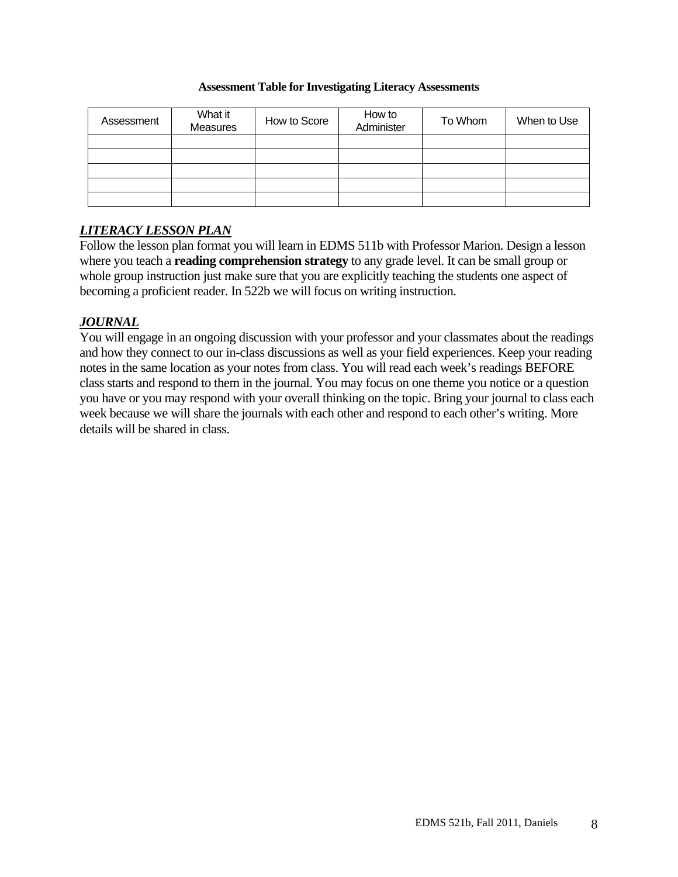#### **Assessment Table for Investigating Literacy Assessments**

| Assessment | What it<br><b>Measures</b> | How to Score | How to<br>Administer | To Whom | When to Use |
|------------|----------------------------|--------------|----------------------|---------|-------------|
|            |                            |              |                      |         |             |
|            |                            |              |                      |         |             |
|            |                            |              |                      |         |             |
|            |                            |              |                      |         |             |
|            |                            |              |                      |         |             |

# *LITERACY LESSON PLAN*

Follow the lesson plan format you will learn in EDMS 511b with Professor Marion. Design a lesson where you teach a **reading comprehension strategy** to any grade level. It can be small group or whole group instruction just make sure that you are explicitly teaching the students one aspect of becoming a proficient reader. In 522b we will focus on writing instruction.

# *JOURNAL*

You will engage in an ongoing discussion with your professor and your classmates about the readings and how they connect to our in-class discussions as well as your field experiences. Keep your reading notes in the same location as your notes from class. You will read each week's readings BEFORE class starts and respond to them in the journal. You may focus on one theme you notice or a question you have or you may respond with your overall thinking on the topic. Bring your journal to class each week because we will share the journals with each other and respond to each other's writing. More details will be shared in class.